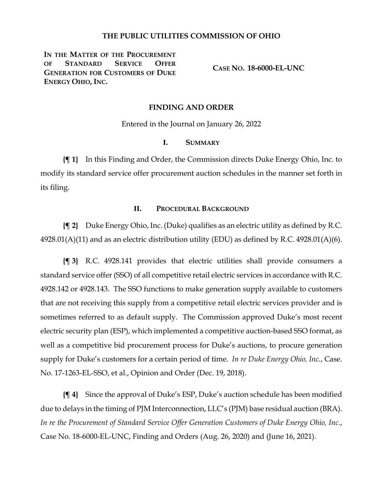### **THE PUBLIC UTILITIES COMMISSION OF OHIO**

IN THE MATTER OF THE PROCUREMENT **OF STANDARD SERVICE OFFER GENERATION FOR CUSTOMERS OF DUKE ENERGY OHIO, INC.**

**CASE NO. 18-6000-EL-UNC**

#### **FINDING AND ORDER**

Entered in the Journal on January 26, 2022

## **I. SUMMARY**

**{¶ 1}** In this Finding and Order, the Commission directs Duke Energy Ohio, Inc. to modify its standard service offer procurement auction schedules in the manner set forth in its filing.

### **II. PROCEDURAL BACKGROUND**

**{¶ 2}** Duke Energy Ohio, Inc. (Duke) qualifies as an electric utility as defined by R.C.  $4928.01(A)(11)$  and as an electric distribution utility (EDU) as defined by R.C.  $4928.01(A)(6)$ .

**{¶ 3}** R.C. 4928.141 provides that electric utilities shall provide consumers a standard service offer (SSO) of all competitive retail electric services in accordance with R.C. 4928.142 or 4928.143. The SSO functions to make generation supply available to customers that are not receiving this supply from a competitive retail electric services provider and is sometimes referred to as default supply. The Commission approved Duke's most recent electric security plan (ESP), which implemented a competitive auction-based SSO format, as well as a competitive bid procurement process for Duke's auctions, to procure generation supply for Duke's customers for a certain period of time. *In re Duke Energy Ohio, Inc.*, Case. No. 17-1263-EL-SSO, et al., Opinion and Order (Dec. 19, 2018).

**{¶ 4}** Since the approval of Duke's ESP, Duke's auction schedule has been modified due to delays in the timing of PJM Interconnection, LLC's (PJM) base residual auction (BRA). *In re the Procurement of Standard Service Offer Generation Customers of Duke Energy Ohio, Inc.*, Case No. 18-6000-EL-UNC, Finding and Orders (Aug. 26, 2020) and (June 16, 2021).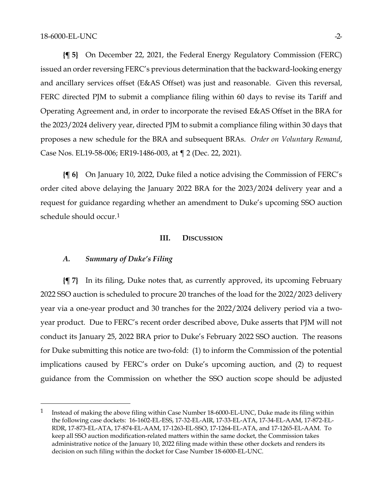**{¶ 5}** On December 22, 2021, the Federal Energy Regulatory Commission (FERC) issued an order reversing FERC's previous determination that the backward-looking energy and ancillary services offset (E&AS Offset) was just and reasonable. Given this reversal, FERC directed PJM to submit a compliance filing within 60 days to revise its Tariff and Operating Agreement and, in order to incorporate the revised E&AS Offset in the BRA for the 2023/2024 delivery year, directed PJM to submit a compliance filing within 30 days that proposes a new schedule for the BRA and subsequent BRAs. *Order on Voluntary Remand*, Case Nos. EL19-58-006; ER19-1486-003, at ¶ 2 (Dec. 22, 2021).

**{¶ 6}** On January 10, 2022, Duke filed a notice advising the Commission of FERC's order cited above delaying the January 2022 BRA for the 2023/2024 delivery year and a request for guidance regarding whether an amendment to Duke's upcoming SSO auction schedule should occur.[1](#page-1-0)

### **III. DISCUSSION**

### *A. Summary of Duke's Filing*

**{¶ 7}** In its filing, Duke notes that, as currently approved, its upcoming February 2022 SSO auction is scheduled to procure 20 tranches of the load for the 2022/2023 delivery year via a one-year product and 30 tranches for the 2022/2024 delivery period via a twoyear product. Due to FERC's recent order described above, Duke asserts that PJM will not conduct its January 25, 2022 BRA prior to Duke's February 2022 SSO auction. The reasons for Duke submitting this notice are two-fold: (1) to inform the Commission of the potential implications caused by FERC's order on Duke's upcoming auction, and (2) to request guidance from the Commission on whether the SSO auction scope should be adjusted

<span id="page-1-0"></span><sup>&</sup>lt;sup>1</sup> Instead of making the above filing within Case Number 18-6000-EL-UNC, Duke made its filing within the following case dockets: 16-1602-EL-ESS, 17-32-EL-AIR, 17-33-EL-ATA, 17-34-EL-AAM, 17-872-EL-RDR, 17-873-EL-ATA, 17-874-EL-AAM, 17-1263-EL-SSO, 17-1264-EL-ATA, and 17-1265-EL-AAM. To keep all SSO auction modification-related matters within the same docket, the Commission takes administrative notice of the January 10, 2022 filing made within these other dockets and renders its decision on such filing within the docket for Case Number 18-6000-EL-UNC.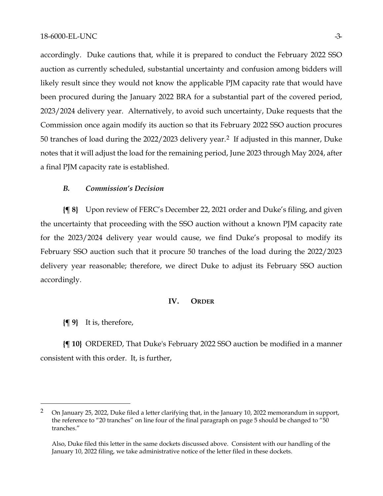accordingly. Duke cautions that, while it is prepared to conduct the February 2022 SSO auction as currently scheduled, substantial uncertainty and confusion among bidders will likely result since they would not know the applicable PJM capacity rate that would have been procured during the January 2022 BRA for a substantial part of the covered period, 2023/2024 delivery year. Alternatively, to avoid such uncertainty, Duke requests that the Commission once again modify its auction so that its February 2022 SSO auction procures 50 tranches of load during the 2022/2023 delivery year.[2](#page-2-0) If adjusted in this manner, Duke notes that it will adjust the load for the remaining period, June 2023 through May 2024, after a final PJM capacity rate is established.

#### *B. Commission's Decision*

**{¶ 8}** Upon review of FERC's December 22, 2021 order and Duke's filing, and given the uncertainty that proceeding with the SSO auction without a known PJM capacity rate for the 2023/2024 delivery year would cause, we find Duke's proposal to modify its February SSO auction such that it procure 50 tranches of the load during the 2022/2023 delivery year reasonable; therefore, we direct Duke to adjust its February SSO auction accordingly.

#### **IV. ORDER**

**{¶ 9}** It is, therefore,

**{¶ 10}** ORDERED, That Duke's February 2022 SSO auction be modified in a manner consistent with this order. It, is further,

<span id="page-2-0"></span><sup>&</sup>lt;sup>2</sup> On January 25, 2022, Duke filed a letter clarifying that, in the January 10, 2022 memorandum in support, the reference to "20 tranches" on line four of the final paragraph on page 5 should be changed to "50 tranches."

Also, Duke filed this letter in the same dockets discussed above. Consistent with our handling of the January 10, 2022 filing, we take administrative notice of the letter filed in these dockets.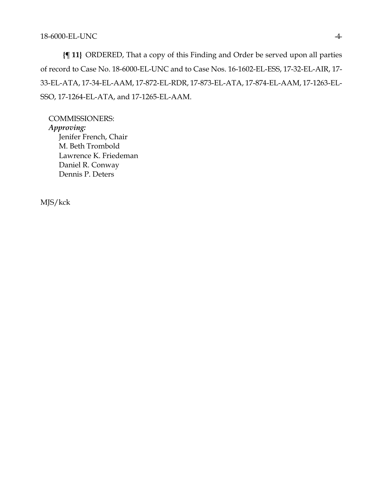**{¶ 11}** ORDERED, That a copy of this Finding and Order be served upon all parties of record to Case No. 18-6000-EL-UNC and to Case Nos. 16-1602-EL-ESS, 17-32-EL-AIR, 17- 33-EL-ATA, 17-34-EL-AAM, 17-872-EL-RDR, 17-873-EL-ATA, 17-874-EL-AAM, 17-1263-EL-SSO, 17-1264-EL-ATA, and 17-1265-EL-AAM.

COMMISSIONERS: *Approving:*  Jenifer French, Chair M. Beth Trombold Lawrence K. Friedeman Daniel R. Conway Dennis P. Deters

MJS/kck